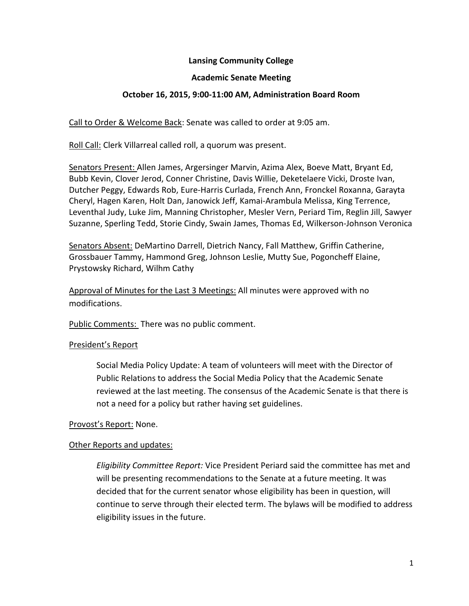## **Lansing Community College**

### **Academic Senate Meeting**

#### **October 16, 2015, 9:00-11:00 AM, Administration Board Room**

Call to Order & Welcome Back: Senate was called to order at 9:05 am.

Roll Call: Clerk Villarreal called roll, a quorum was present.

Senators Present: Allen James, Argersinger Marvin, Azima Alex, Boeve Matt, Bryant Ed, Bubb Kevin, Clover Jerod, Conner Christine, Davis Willie, Deketelaere Vicki, Droste Ivan, Dutcher Peggy, Edwards Rob, Eure-Harris Curlada, French Ann, Fronckel Roxanna, Garayta Cheryl, Hagen Karen, Holt Dan, Janowick Jeff, Kamai-Arambula Melissa, King Terrence, Leventhal Judy, Luke Jim, Manning Christopher, Mesler Vern, Periard Tim, Reglin Jill, Sawyer Suzanne, Sperling Tedd, Storie Cindy, Swain James, Thomas Ed, Wilkerson-Johnson Veronica

Senators Absent: DeMartino Darrell, Dietrich Nancy, Fall Matthew, Griffin Catherine, Grossbauer Tammy, Hammond Greg, Johnson Leslie, Mutty Sue, Pogoncheff Elaine, Prystowsky Richard, Wilhm Cathy

Approval of Minutes for the Last 3 Meetings: All minutes were approved with no modifications.

Public Comments: There was no public comment.

#### President's Report

Social Media Policy Update: A team of volunteers will meet with the Director of Public Relations to address the Social Media Policy that the Academic Senate reviewed at the last meeting. The consensus of the Academic Senate is that there is not a need for a policy but rather having set guidelines.

### Provost's Report: None.

### Other Reports and updates:

*Eligibility Committee Report:* Vice President Periard said the committee has met and will be presenting recommendations to the Senate at a future meeting. It was decided that for the current senator whose eligibility has been in question, will continue to serve through their elected term. The bylaws will be modified to address eligibility issues in the future.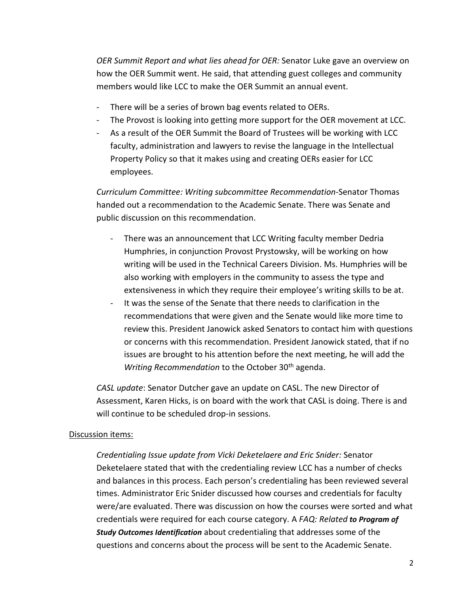*OER Summit Report and what lies ahead for OER:* Senator Luke gave an overview on how the OER Summit went. He said, that attending guest colleges and community members would like LCC to make the OER Summit an annual event.

- There will be a series of brown bag events related to OERs.
- The Provost is looking into getting more support for the OER movement at LCC.
- As a result of the OER Summit the Board of Trustees will be working with LCC faculty, administration and lawyers to revise the language in the Intellectual Property Policy so that it makes using and creating OERs easier for LCC employees.

*Curriculum Committee: Writing subcommittee Recommendation*-Senator Thomas handed out a recommendation to the Academic Senate. There was Senate and public discussion on this recommendation.

- There was an announcement that LCC Writing faculty member Dedria Humphries, in conjunction Provost Prystowsky, will be working on how writing will be used in the Technical Careers Division. Ms. Humphries will be also working with employers in the community to assess the type and extensiveness in which they require their employee's writing skills to be at.
- It was the sense of the Senate that there needs to clarification in the recommendations that were given and the Senate would like more time to review this. President Janowick asked Senators to contact him with questions or concerns with this recommendation. President Janowick stated, that if no issues are brought to his attention before the next meeting, he will add the *Writing Recommendation* to the October 30<sup>th</sup> agenda.

*CASL update*: Senator Dutcher gave an update on CASL. The new Director of Assessment, Karen Hicks, is on board with the work that CASL is doing. There is and will continue to be scheduled drop-in sessions.

### Discussion items:

*Credentialing Issue update from Vicki Deketelaere and Eric Snider:* Senator Deketelaere stated that with the credentialing review LCC has a number of checks and balances in this process. Each person's credentialing has been reviewed several times. Administrator Eric Snider discussed how courses and credentials for faculty were/are evaluated. There was discussion on how the courses were sorted and what credentials were required for each course category. A *FAQ: Related to Program of Study Outcomes Identification* about credentialing that addresses some of the questions and concerns about the process will be sent to the Academic Senate.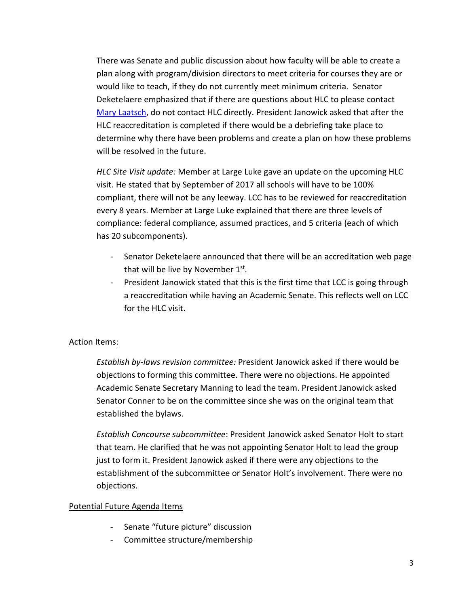There was Senate and public discussion about how faculty will be able to create a plan along with program/division directors to meet criteria for courses they are or would like to teach, if they do not currently meet minimum criteria. Senator Deketelaere emphasized that if there are questions about HLC to please contact [Mary Laatsch,](mailto:laatsm@star.lcc.edu) do not contact HLC directly. President Janowick asked that after the HLC reaccreditation is completed if there would be a debriefing take place to determine why there have been problems and create a plan on how these problems will be resolved in the future.

*HLC Site Visit update:* Member at Large Luke gave an update on the upcoming HLC visit. He stated that by September of 2017 all schools will have to be 100% compliant, there will not be any leeway. LCC has to be reviewed for reaccreditation every 8 years. Member at Large Luke explained that there are three levels of compliance: federal compliance, assumed practices, and 5 criteria (each of which has 20 subcomponents).

- Senator Deketelaere announced that there will be an accreditation web page that will be live by November  $1<sup>st</sup>$ .
- President Janowick stated that this is the first time that LCC is going through a reaccreditation while having an Academic Senate. This reflects well on LCC for the HLC visit.

# Action Items:

*Establish by-laws revision committee:* President Janowick asked if there would be objections to forming this committee. There were no objections. He appointed Academic Senate Secretary Manning to lead the team. President Janowick asked Senator Conner to be on the committee since she was on the original team that established the bylaws.

*Establish Concourse subcommittee*: President Janowick asked Senator Holt to start that team. He clarified that he was not appointing Senator Holt to lead the group just to form it. President Janowick asked if there were any objections to the establishment of the subcommittee or Senator Holt's involvement. There were no objections.

### Potential Future Agenda Items

- Senate "future picture" discussion
- Committee structure/membership